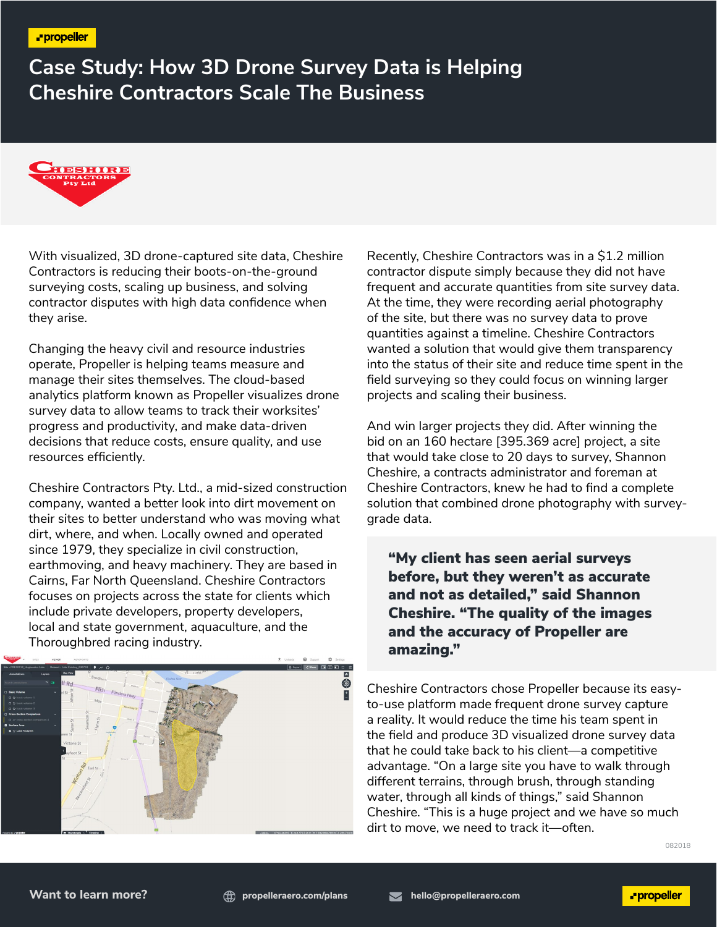**Case Study: How 3D Drone Survey Data is Helping Cheshire Contractors Scale The Business**



With visualized, 3D drone-captured site data, Cheshire Contractors is reducing their boots-on-the-ground surveying costs, scaling up business, and solving contractor disputes with high data confidence when they arise.

Changing the heavy civil and resource industries operate, Propeller is helping teams measure and manage their sites themselves. The cloud-based analytics platform known as Propeller visualizes drone survey data to allow teams to track their worksites' progress and productivity, and make data-driven decisions that reduce costs, ensure quality, and use resources efficiently.

Cheshire Contractors Pty. Ltd., a mid-sized construction company, wanted a better look into dirt movement on their sites to better understand who was moving what dirt, where, and when. Locally owned and operated since 1979, they specialize in civil construction, earthmoving, and heavy machinery. They are based in Cairns, Far North Queensland. Cheshire Contractors focuses on projects across the state for clients which include private developers, property developers, local and state government, aquaculture, and the Thoroughbred racing industry.



Recently, Cheshire Contractors was in a \$1.2 million contractor dispute simply because they did not have frequent and accurate quantities from site survey data. At the time, they were recording aerial photography of the site, but there was no survey data to prove quantities against a timeline. Cheshire Contractors wanted a solution that would give them transparency into the status of their site and reduce time spent in the field surveying so they could focus on winning larger projects and scaling their business.

And win larger projects they did. After winning the bid on an 160 hectare [395.369 acre] project, a site that would take close to 20 days to survey, Shannon Cheshire, a contracts administrator and foreman at Cheshire Contractors, knew he had to find a complete solution that combined drone photography with surveygrade data.

"My client has seen aerial surveys before, but they weren't as accurate and not as detailed," said Shannon Cheshire. "The quality of the images and the accuracy of Propeller are amazing."

Cheshire Contractors chose Propeller because its easyto-use platform made frequent drone survey capture a reality. It would reduce the time his team spent in the field and produce 3D visualized drone survey data that he could take back to his client—a competitive advantage. "On a large site you have to walk through different terrains, through brush, through standing water, through all kinds of things," said Shannon Cheshire. "This is a huge project and we have so much dirt to move, we need to track it—often.